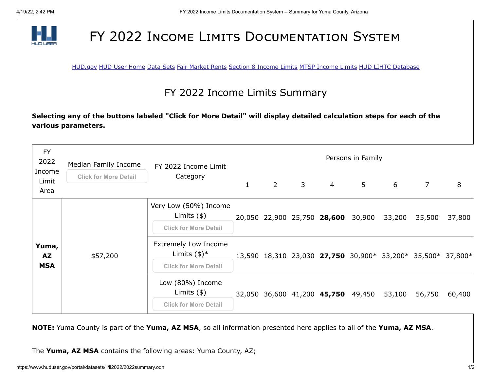

## FY 2022 INCOME LIMITS DOCUMENTATION SYSTEM

[HUD.gov](http://www.hud.gov/) [HUD User Home](http://www.huduser.org/portal/index.html) [Data Sets](http://www.huduser.org/portal/datasets/pdrdatas.html) [Fair Market Rents](http://www.huduser.org/portal/datasets/fmr.html) [Section 8 Income Limits](http://www.huduser.org/portal/datasets/il.html) [MTSP Income Limits](http://www.huduser.org/portal/datasets/mtsp.html) [HUD LIHTC Database](http://www.huduser.org/portal/datasets/lihtc.html)

## FY 2022 Income Limits Summary

**Selecting any of the buttons labeled "Click for More Detail" will display detailed calculation steps for each of the various parameters.**

| <b>FY</b><br>2022<br>Income<br>Limit<br>Area | Median Family Income         | FY 2022 Income Limit<br>Category                                                        | Persons in Family |             |             |                                    |                |        |                                                             |        |
|----------------------------------------------|------------------------------|-----------------------------------------------------------------------------------------|-------------------|-------------|-------------|------------------------------------|----------------|--------|-------------------------------------------------------------|--------|
|                                              | <b>Click for More Detail</b> |                                                                                         | $\mathbf{1}$      | $2^{\circ}$ | $3^{\circ}$ | $\overline{4}$                     | 5 <sup>1</sup> | 6      | $\overline{7}$                                              | 8      |
| Yuma,<br><b>AZ</b><br><b>MSA</b>             | \$57,200                     | Very Low (50%) Income<br>Limits $(*)$<br><b>Click for More Detail</b>                   |                   |             |             | 20,050 22,900 25,750 28,600        | 30,900         | 33,200 | 35,500                                                      | 37,800 |
|                                              |                              | <b>Extremely Low Income</b><br>Limits $(\frac{1}{2})^*$<br><b>Click for More Detail</b> |                   |             |             |                                    |                |        | 13,590 18,310 23,030 27,750 30,900* 33,200* 35,500* 37,800* |        |
|                                              |                              | Low (80%) Income<br>Limits $(*)$<br><b>Click for More Detail</b>                        |                   |             |             | 32,050 36,600 41,200 45,750 49,450 |                | 53,100 | 56,750                                                      | 60,400 |

**NOTE:** Yuma County is part of the **Yuma, AZ MSA**, so all information presented here applies to all of the **Yuma, AZ MSA**.

The **Yuma, AZ MSA** contains the following areas: Yuma County, AZ;